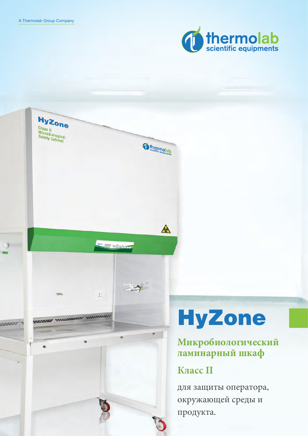

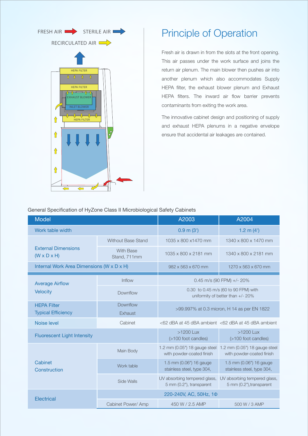

## Principle of Operation

Свежий воздух всасывается через прорези в передней части. Этот воздух проходит под рабочей поверхностью и соединяется с камерой рециркуляционного воздуха. Затем главный вентилятор нагнетает воздух в другую камеру, в которой также находятся приточный HEPAфильтр, камера вытяжки и вытяжные HEPAфильтры. Барьер для внутреннего воздушного потока предотвращает попадание загрязняющих веществ в рабочую зону.

Инновационная конструкция бокса и расположение приточных и вытяжных камер HEPA в отрицательной оболочке гарантируют предотвращение случайных утечек воздуха.

| Общие техни теские ларактеристики боксов микроонологи теской осзопасности ттудоне класса и |                                  |                                                                           |                                                                                          |
|--------------------------------------------------------------------------------------------|----------------------------------|---------------------------------------------------------------------------|------------------------------------------------------------------------------------------|
|                                                                                            |                                  | A2003                                                                     | A2004                                                                                    |
|                                                                                            |                                  | (3')<br>0.9                                                               | (4')<br>1.2                                                                              |
|                                                                                            | <b>Without Base Stand</b>        | 1035 x 800 x 1470 MM                                                      | 1340 x 800 x 1470 MM                                                                     |
|                                                                                            | <b>With Base</b><br>Stand, 711MM | 1035 x 800 x 2181 MM                                                      | 1340 x 800 x 2181 MM                                                                     |
|                                                                                            | $X \ X$ )                        | 982 x 563 x 670 MM                                                        | 1270 x 563 x 670 MM                                                                      |
|                                                                                            | Inflow                           | 0.45 m/s (90 FPM) +/- 20%                                                 |                                                                                          |
|                                                                                            | Downflow                         | 0.30 to 0.45 m/s (60 to 90 FPM) with<br>uniformity of better than +/- 20% |                                                                                          |
| <b>HEPA</b>                                                                                | <b>Downflow</b>                  | >99.997% at 0.3 micron, H 14 as per EN 1822                               |                                                                                          |
|                                                                                            | Exhaust                          |                                                                           |                                                                                          |
|                                                                                            | Cabinet                          |                                                                           | <62 dBA at 45 dBA ambient <62 dBA at 45 dBA ambient                                      |
|                                                                                            |                                  | >1200 Lux<br>(>100 foot candles)                                          | >1200 Lux<br>(>100 foot candles)                                                         |
|                                                                                            | Main Body                        | with powder-coated finish                                                 | 1.2 mm (0.05") 18 gauge steel 1.2 mm (0.05") 18 gauge steel<br>with powder-coated finish |
|                                                                                            | Work table                       | 1.5 mm (0.06") 16 gauge<br>stainless steel, type 304,                     | 1.5 mm (0.06") 16 gauge<br>stainless steel, type 304,                                    |
|                                                                                            | Side Walls                       | UV absorbing tempered glass,<br>5 mm (0.2"), transparent                  | UV absorbing tempered glass,<br>5 mm (0.2"), transparent                                 |
|                                                                                            | 220-240V, AC, 50Hz, 10           |                                                                           |                                                                                          |
|                                                                                            | Cabinet Power/ Amp               | 450 W / 2.5 AMP                                                           | 500 W / 3 AMP                                                                            |

Общие **технические характеристики** боксов микробиологической безопасности **HyZone** класса II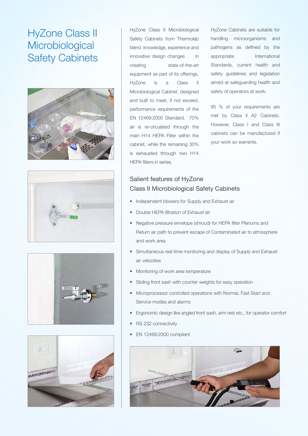# HyZone Class II **Microbiological** Safety Cabinets









HyZone Class II Microbiological Safety Cabinets from Thermolab blend knowledge, experience and innovative design changes in creating state-of-the-art equipment as part of its offerings. HyZone is a Class II Microbiological Cabinet, designed and built to meet, if not exceed, performance requirements of the EN 12469:2000 Standard. 70% air is re-circulated through the main H14 HEPA Filter within the cabinet, while the remaining 30% is exhausted through two H14 HEPA filters in series.

HyZone Cabinets are suitable for handling microorganisms and pathogens as defined by the appropriate International Standards, current health and safety guidelines and legislation aimed at safeguarding health and safety of operators at work.

95 % of your requirements are met by Class II A2 Cabinets. However, Class I and Class III cabinets can be manufactured if your work so warrants.

### Salient features of HyZone Class II Microbiological Safety Cabinets

- Independent blowers for Supply and Exhaust air
- Double HEPA filtration of Exhaust air
- Negative pressure envelope (shroud) for HEPA filter Plenums and Return air path to prevent escape of Contaminated air to atmosphere and work area
- Simultaneous real time monitoring and display of Supply and Exhaust air velocities
- Monitoring of work area temperature
- Sliding front sash with counter weights for easy operation
- Microprocessor controlled operations with Normal, Fast Start and Service modes and alarms
- Ergonomic design like angled front sash, arm rest etc., for operator comfort
- RS 232 connectivity
- EN 12469:2000 compliant

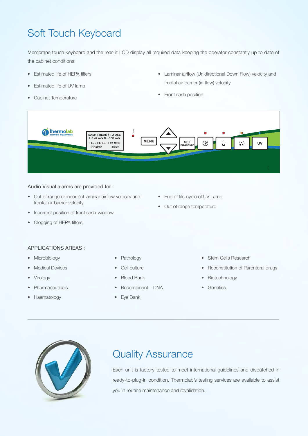# Soft Touch Keyboard

Membrane touch keyboard and the rear-lit LCD display all required data keeping the operator constantly up to date of the cabinet conditions:

- Estimated life of HEPA filters
- Estimated life of UV lamp
- Cabinet Temperature
- Laminar airflow (Unidirectional Down Flow) velocity and frontal air barrier (in flow) velocity
- Front sash position



#### Audio Visual alarms are provided for :

- Out of range or incorrect laminar airflow velocity and frontal air barrier velocity
- Incorrect position of front sash-window
- Clogging of HEPA filters
- End of life-cycle of UV Lamp
- Out of range temperature

### APPLICATIONS AREAS :

- Microbiology
- Medical Devices
- **Virology**
- **Pharmaceuticals**
- Haematology
- Pathology
- Cell culture
- **Blood Bank**
- Recombinant DNA
- Eye Bank
- Stem Cells Research
- Reconstitution of Parenteral drugs
- Biotechnology
- Genetics.



# Quality Assurance

Each unit is factory tested to meet international guidelines and dispatched in ready-to-plug-in condition. Thermolab's testing services are available to assist you in routine maintenance and revalidation.